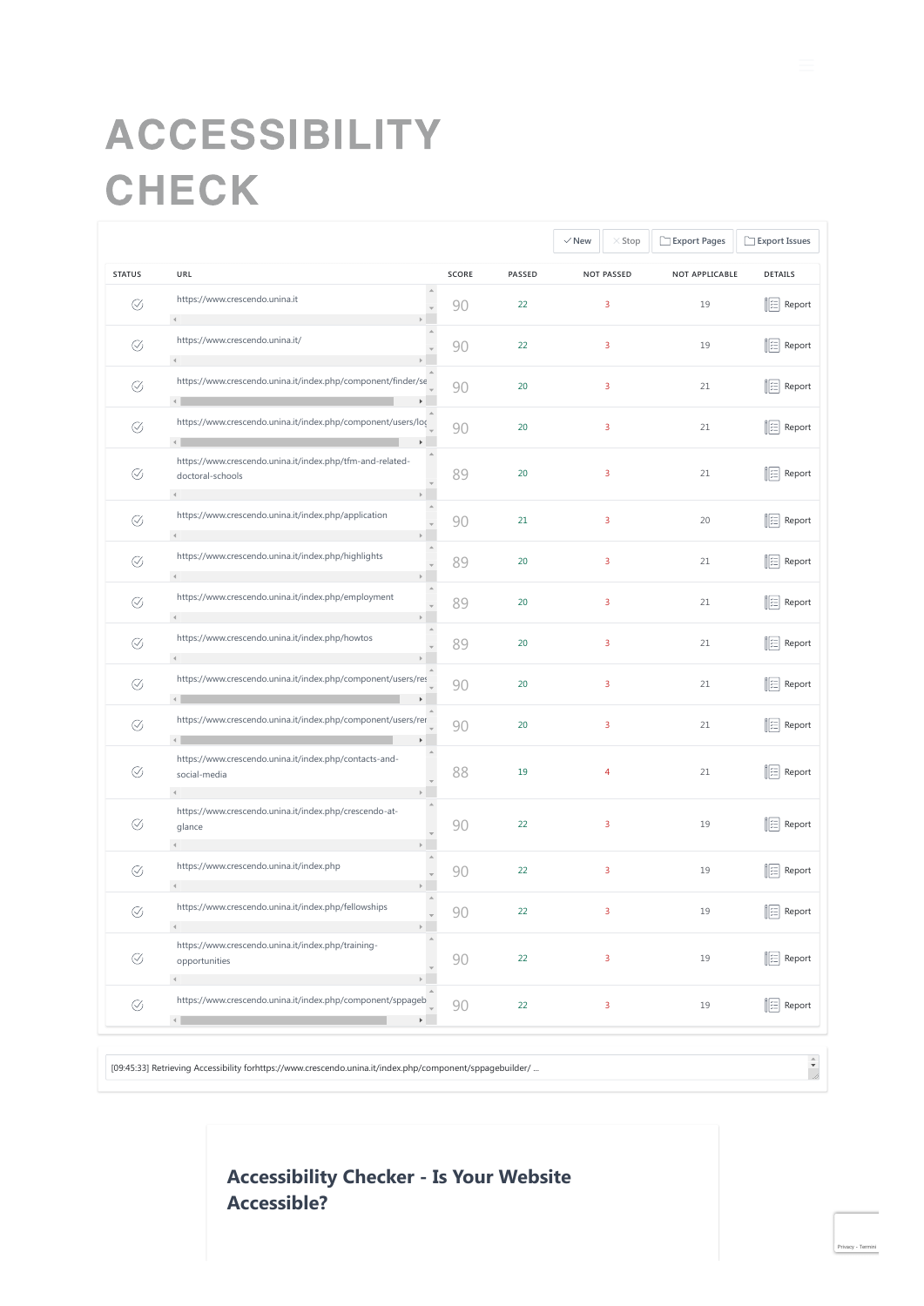# ACCESSIBILITY CHECK

|               |                                                                                                          |       |        | $\vee$ New<br>$\times$ Stop | Export Pages   | Export Issues      |
|---------------|----------------------------------------------------------------------------------------------------------|-------|--------|-----------------------------|----------------|--------------------|
| <b>STATUS</b> | URL                                                                                                      | SCORE | PASSED | <b>NOT PASSED</b>           | NOT APPLICABLE | DETAILS            |
| Ø             | https://www.crescendo.unina.it<br>$\left($                                                               | 90    | 22     | $\overline{3}$              | 19             | <b>E</b> Report    |
| Ø             | https://www.crescendo.unina.it/                                                                          | 90    | 22     | $\overline{3}$              | 19             | <b>图 Report</b>    |
| $\oslash$     | https://www.crescendo.unina.it/index.php/component/finder/se<br>$\left\langle \cdot \right\rangle$       | 90    | 20     | 3                           | 21             | <b>E</b> Report    |
| Ø             | https://www.crescendo.unina.it/index.php/component/users/loc<br>$\left\langle \cdot \right\rangle$       | 90    | 20     | $\overline{\mathbf{3}}$     | 21             | <b>E</b> Report    |
| Ø             | https://www.crescendo.unina.it/index.php/tfm-and-related-<br>doctoral-schools<br>$\triangleleft$         | 89    | 20     | $\overline{\mathbf{3}}$     | 21             | <b>  ∷ Report</b>  |
| Ø             | https://www.crescendo.unina.it/index.php/application<br>$\left\langle \cdot \right\rangle$               | 90    | 21     | $\overline{3}$              | 20             | <b>E</b> Report    |
| Ø             | https://www.crescendo.unina.it/index.php/highlights                                                      | 89    | 20     | 3                           | 21             | ⊟ Report           |
| $\oslash$     | https://www.crescendo.unina.it/index.php/employment<br>$\mathbf{q}$                                      | 89    | 20     | 3                           | 21             | ■ Report           |
| Ø             | https://www.crescendo.unina.it/index.php/howtos                                                          | 89    | 20     | 3                           | 21             | <b>E</b> Report    |
| Ø             | https://www.crescendo.unina.it/index.php/component/users/res<br>$\leftarrow$                             | 90    | 20     | $\overline{3}$              | 21             | <b>  ∷ Report</b>  |
| Ø             | https://www.crescendo.unina.it/index.php/component/users/rer<br>$\left\  \cdot \right\ $                 | 90    | 20     | $\overline{3}$              | 21             | 注 Report           |
| Ø             | https://www.crescendo.unina.it/index.php/contacts-and-<br>social-media<br>$\left\langle 1 \right\rangle$ | 88    | 19     | $\overline{4}$              | 21             | Report             |
| Ø             | https://www.crescendo.unina.it/index.php/crescendo-at-<br>glance                                         | 90    | 22     | $\overline{3}$              | 19             | <b>   ⊟ Report</b> |
| Ø             | https://www.crescendo.unina.it/index.php                                                                 | 90    | 22     | $\overline{3}$              | 19             | <b>  ⊟ Report</b>  |
| Ø             | https://www.crescendo.unina.it/index.php/fellowships                                                     | 90    | 22     | 3                           | 19             | <b>  ⊟ Report</b>  |
| Ø             | https://www.crescendo.unina.it/index.php/training-<br>opportunities                                      | 90    | 22     | $\overline{\mathbf{3}}$     | 19             | <b>E</b> Report    |
| Ø             | https://www.crescendo.unina.it/index.php/component/sppageb<br>$\left\langle \cdot \right\rangle$         | 90    | 22     | $\overline{\mathbf{3}}$     | 19             | <b>E</b> Report    |

 $\frac{1}{\sqrt{2}}$ 

# **Accessibility Checker - Is Your Website Accessible?**

[09:45:33] Retrieving Accessibility forhttps://www.crescendo.unina.it/index.php/component/sppagebuilder/ ...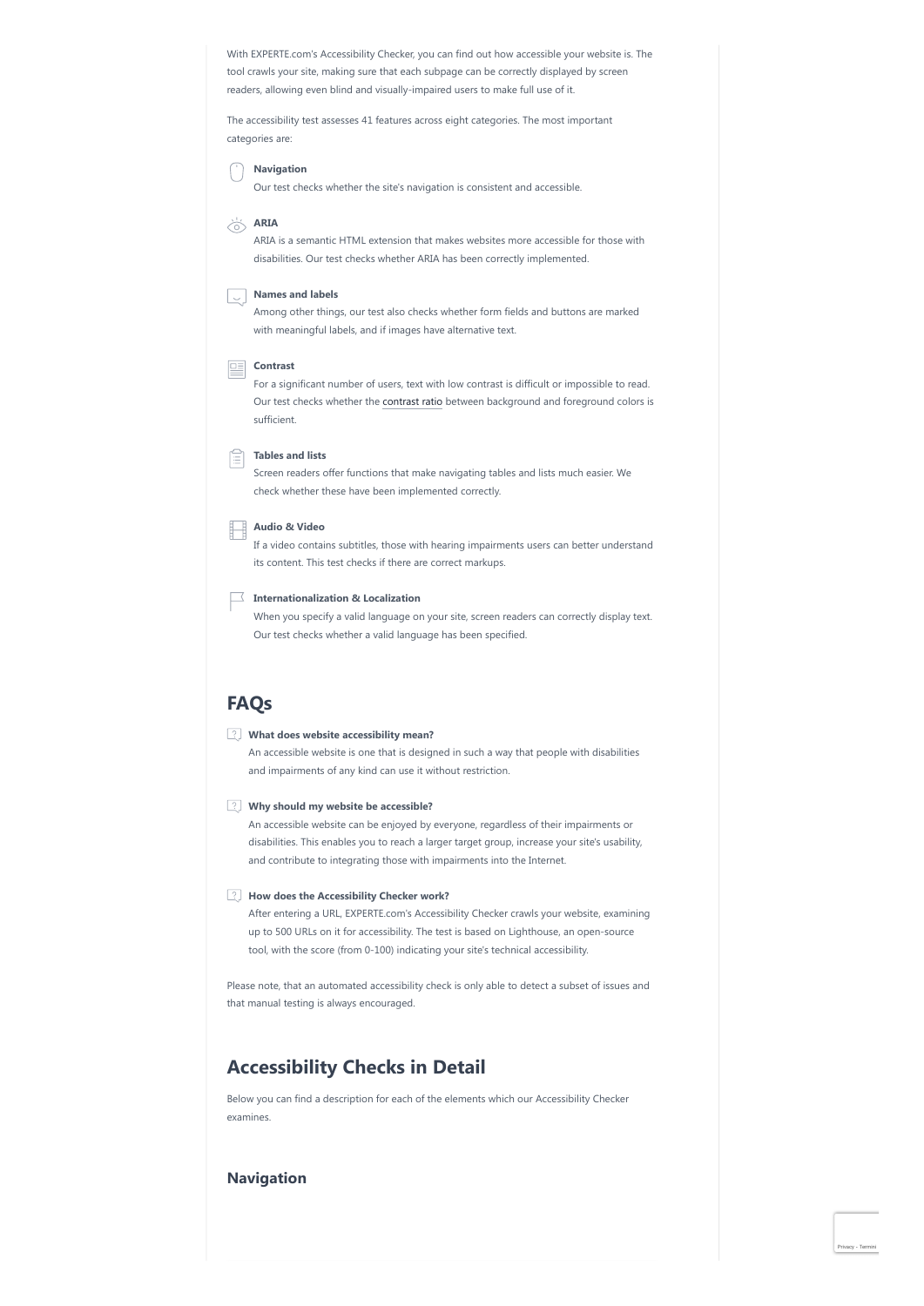With EXPERTE.com's Accessibility Checker, you can find out how accessible your website is. The tool crawls your site, making sure that each subpage can be correctly displayed by screen readers, allowing even blind and visually-impaired users to make full use of it.

The accessibility test assesses 41 features across eight categories. The most important categories are:

**Navigation**

Our test checks whether the site's navigation is consistent and accessible.

**ARIA**

ARIA is a semantic HTML extension that makes websites more accessible for those with disabilities. Our test checks whether ARIA has been correctly implemented.

#### **Names and labels**

Among other things, our test also checks whether form fields and buttons are marked with meaningful labels, and if images have alternative text.

## **Contrast**

For a significant number of users, text with low contrast is difficult or impossible to read. Our test checks whether the [contrast ratio](https://www.experte.com/accessibility/contrast) between background and foreground colors is sufficient.

## **Tables and lists**

Screen readers offer functions that make navigating tables and lists much easier. We check whether these have been implemented correctly.

## **Audio & Video**

If a video contains subtitles, those with hearing impairments users can better understand its content. This test checks if there are correct markups.

### **Internationalization & Localization**

When you specify a valid language on your site, screen readers can correctly display text. Our test checks whether a valid language has been specified.

# **FAQs**

#### **What does website accessibility mean?**

An accessible website is one that is designed in such a way that people with disabilities and impairments of any kind can use it without restriction.

## **Why should my website be accessible?**

An accessible website can be enjoyed by everyone, regardless of their impairments or disabilities. This enables you to reach a larger target group, increase your site's usability, and contribute to integrating those with impairments into the Internet.

#### **How does the Accessibility Checker work?**

After entering a URL, EXPERTE.com's Accessibility Checker crawls your website, examining up to 500 URLs on it for accessibility. The test is based on Lighthouse, an open-source tool, with the score (from 0-100) indicating your site's technical accessibility.

Please note, that an automated accessibility check is only able to detect a subset of issues and that manual testing is always encouraged.

# **Accessibility Checks in Detail**

Below you can find a description for each of the elements which our Accessibility Checker examines.

## **Navigation**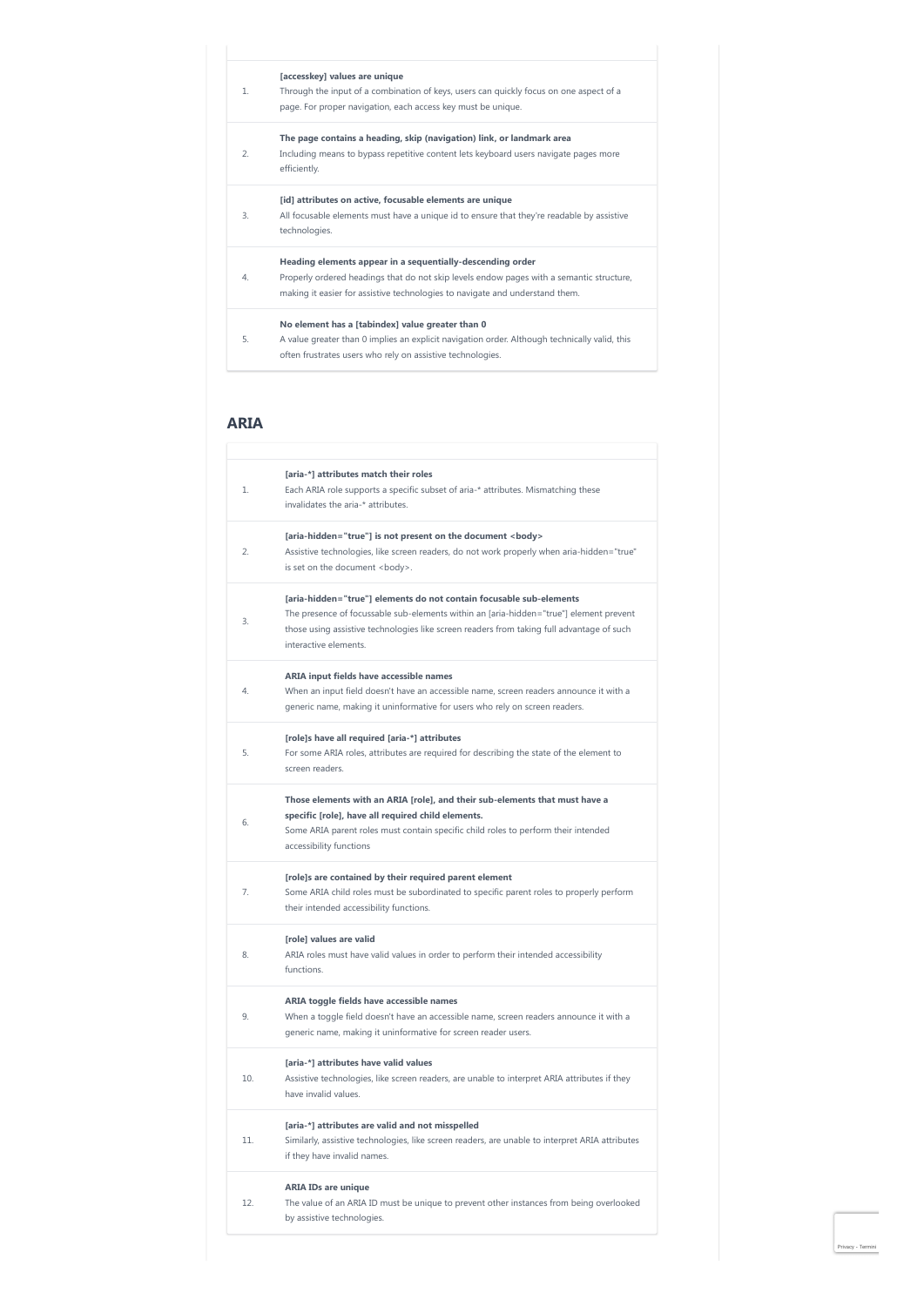|                | [accesskey] values are unique                                                                        |
|----------------|------------------------------------------------------------------------------------------------------|
| 1              | Through the input of a combination of keys, users can quickly focus on one aspect of a               |
|                | page. For proper navigation, each access key must be unique.                                         |
|                | The page contains a heading, skip (navigation) link, or landmark area                                |
| $\overline{2}$ | Including means to bypass repetitive content lets keyboard users navigate pages more<br>efficiently. |
|                | [id] attributes on active, focusable elements are unique                                             |
| 3.             | All focusable elements must have a unique id to ensure that they're readable by assistive            |
|                | technologies.                                                                                        |
|                | Heading elements appear in a sequentially-descending order                                           |
| 4.             | Properly ordered headings that do not skip levels endow pages with a semantic structure,             |
|                | making it easier for assistive technologies to navigate and understand them.                         |
|                | No element has a [tabindex] value greater than 0                                                     |
| 5.             | A value greater than 0 implies an explicit navigation order. Although technically valid, this        |
|                | often frustrates users who rely on assistive technologies.                                           |
|                |                                                                                                      |

# **ARIA**

| 1.<br>2.<br>3.<br>4.<br>5.<br>6. | [aria-*] attributes match their roles<br>Each ARIA role supports a specific subset of aria-* attributes. Mismatching these<br>invalidates the aria-* attributes.<br>[aria-hidden="true"] is not present on the document <body><br/>Assistive technologies, like screen readers, do not work properly when aria-hidden="true"<br/>is set on the document <boody>.<br/>[aria-hidden="true"] elements do not contain focusable sub-elements<br/>The presence of focussable sub-elements within an [aria-hidden="true"] element prevent<br/>those using assistive technologies like screen readers from taking full advantage of such<br/>interactive elements.<br/>ARIA input fields have accessible names<br/>When an input field doesn't have an accessible name, screen readers announce it with a<br/>generic name, making it uninformative for users who rely on screen readers.<br/>[role]s have all required [aria-*] attributes<br/>For some ARIA roles, attributes are required for describing the state of the element to<br/>screen readers.</boody></body> |
|----------------------------------|---------------------------------------------------------------------------------------------------------------------------------------------------------------------------------------------------------------------------------------------------------------------------------------------------------------------------------------------------------------------------------------------------------------------------------------------------------------------------------------------------------------------------------------------------------------------------------------------------------------------------------------------------------------------------------------------------------------------------------------------------------------------------------------------------------------------------------------------------------------------------------------------------------------------------------------------------------------------------------------------------------------------------------------------------------------------|
|                                  |                                                                                                                                                                                                                                                                                                                                                                                                                                                                                                                                                                                                                                                                                                                                                                                                                                                                                                                                                                                                                                                                     |
|                                  |                                                                                                                                                                                                                                                                                                                                                                                                                                                                                                                                                                                                                                                                                                                                                                                                                                                                                                                                                                                                                                                                     |
|                                  |                                                                                                                                                                                                                                                                                                                                                                                                                                                                                                                                                                                                                                                                                                                                                                                                                                                                                                                                                                                                                                                                     |
|                                  |                                                                                                                                                                                                                                                                                                                                                                                                                                                                                                                                                                                                                                                                                                                                                                                                                                                                                                                                                                                                                                                                     |
|                                  |                                                                                                                                                                                                                                                                                                                                                                                                                                                                                                                                                                                                                                                                                                                                                                                                                                                                                                                                                                                                                                                                     |
|                                  | Those elements with an ARIA [role], and their sub-elements that must have a<br>specific [role], have all required child elements.<br>Some ARIA parent roles must contain specific child roles to perform their intended<br>accessibility functions                                                                                                                                                                                                                                                                                                                                                                                                                                                                                                                                                                                                                                                                                                                                                                                                                  |
| 7.                               | [role]s are contained by their required parent element<br>Some ARIA child roles must be subordinated to specific parent roles to properly perform<br>their intended accessibility functions.                                                                                                                                                                                                                                                                                                                                                                                                                                                                                                                                                                                                                                                                                                                                                                                                                                                                        |
| 8.                               | [role] values are valid<br>ARIA roles must have valid values in order to perform their intended accessibility<br>functions.                                                                                                                                                                                                                                                                                                                                                                                                                                                                                                                                                                                                                                                                                                                                                                                                                                                                                                                                         |
| Q                                | ARIA toggle fields have accessible names<br>When a toggle field doesn't have an accessible name, screen readers announce it with a<br>generic name, making it uninformative for screen reader users.                                                                                                                                                                                                                                                                                                                                                                                                                                                                                                                                                                                                                                                                                                                                                                                                                                                                |
| 10.                              | [aria-*] attributes have valid values<br>Assistive technologies, like screen readers, are unable to interpret ARIA attributes if they<br>have invalid values.                                                                                                                                                                                                                                                                                                                                                                                                                                                                                                                                                                                                                                                                                                                                                                                                                                                                                                       |
| 11                               | [aria-*] attributes are valid and not misspelled<br>Similarly, assistive technologies, like screen readers, are unable to interpret ARIA attributes<br>if they have invalid names.                                                                                                                                                                                                                                                                                                                                                                                                                                                                                                                                                                                                                                                                                                                                                                                                                                                                                  |
| 12.                              | <b>ARIA IDs are unique</b>                                                                                                                                                                                                                                                                                                                                                                                                                                                                                                                                                                                                                                                                                                                                                                                                                                                                                                                                                                                                                                          |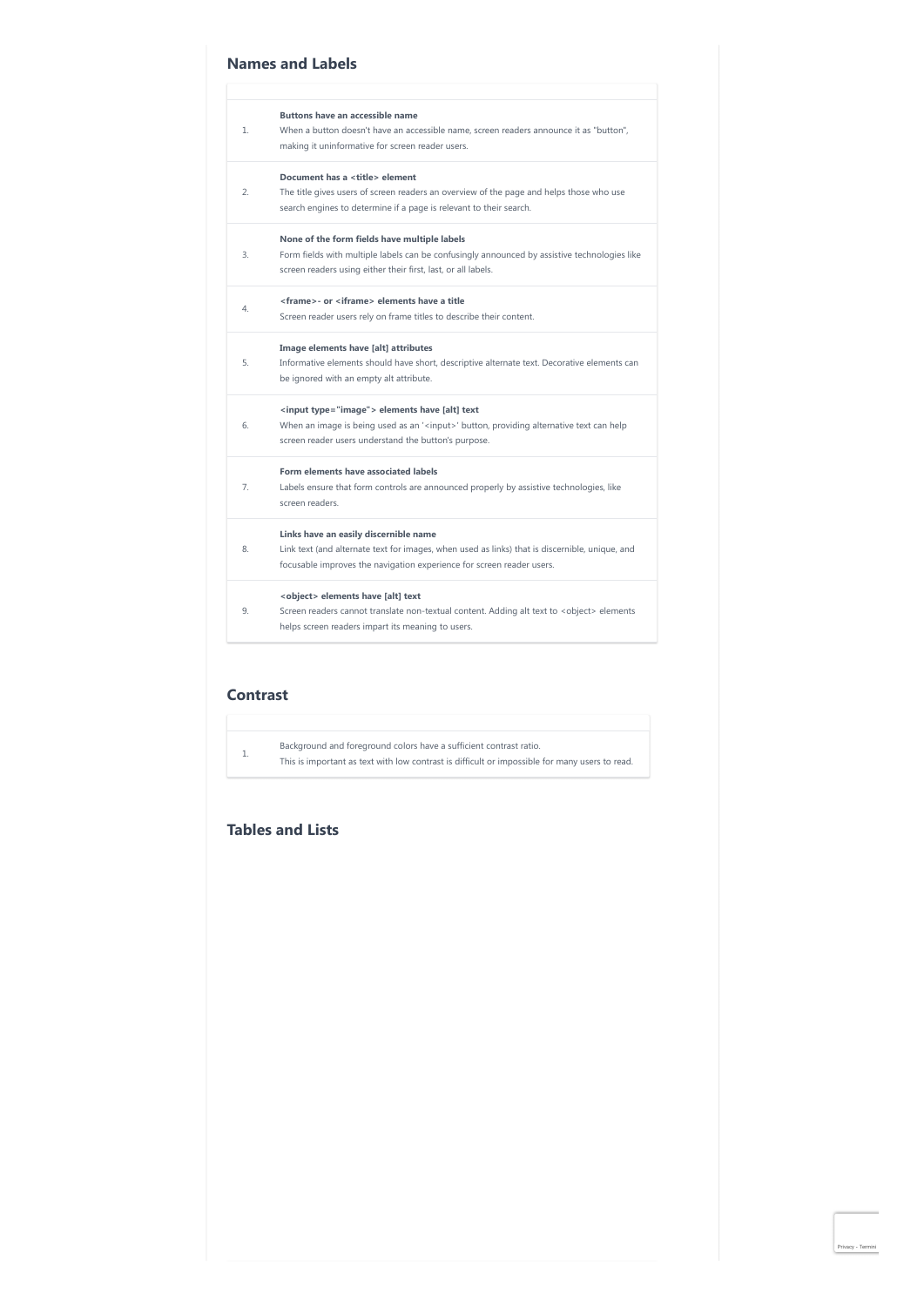# **Names and Labels**

|                | <b>Buttons have an accessible name</b>                                                             |
|----------------|----------------------------------------------------------------------------------------------------|
| 1.             | When a button doesn't have an accessible name, screen readers announce it as "button",             |
|                | making it uninformative for screen reader users.                                                   |
|                | Document has a <title> element</title>                                                             |
| 2.             | The title gives users of screen readers an overview of the page and helps those who use            |
|                | search engines to determine if a page is relevant to their search.                                 |
|                | None of the form fields have multiple labels                                                       |
| 3.             | Form fields with multiple labels can be confusingly announced by assistive technologies like       |
|                | screen readers using either their first, last, or all labels.                                      |
| 4.             | <frame/> - or <iframe> elements have a title</iframe>                                              |
|                | Screen reader users rely on frame titles to describe their content.                                |
|                | Image elements have [alt] attributes                                                               |
| 5.             | Informative elements should have short, descriptive alternate text. Decorative elements can        |
|                | be ignored with an empty alt attribute.                                                            |
|                | <input type="image"/> elements have [alt] text                                                     |
| 6.             | When an image is being used as an ' <input/> ' button, providing alternative text can help         |
|                | screen reader users understand the button's purpose.                                               |
|                | Form elements have associated labels                                                               |
| 7 <sup>1</sup> | Labels ensure that form controls are announced properly by assistive technologies, like            |
|                | screen readers                                                                                     |
|                | Links have an easily discernible name                                                              |
| 8.             | Link text (and alternate text for images, when used as links) that is discernible, unique, and     |
|                | focusable improves the navigation experience for screen reader users.                              |
|                | <object> elements have [alt] text</object>                                                         |
| 9.             | Screen readers cannot translate non-textual content. Adding alt text to <object> elements</object> |
|                | helps screen readers impart its meaning to users.                                                  |

# **Contrast**

| Background and foreground colors have a sufficient contrast ratio.                             |  |  |  |  |
|------------------------------------------------------------------------------------------------|--|--|--|--|
| This is important as text with low contrast is difficult or impossible for many users to read. |  |  |  |  |

# **Tables and Lists**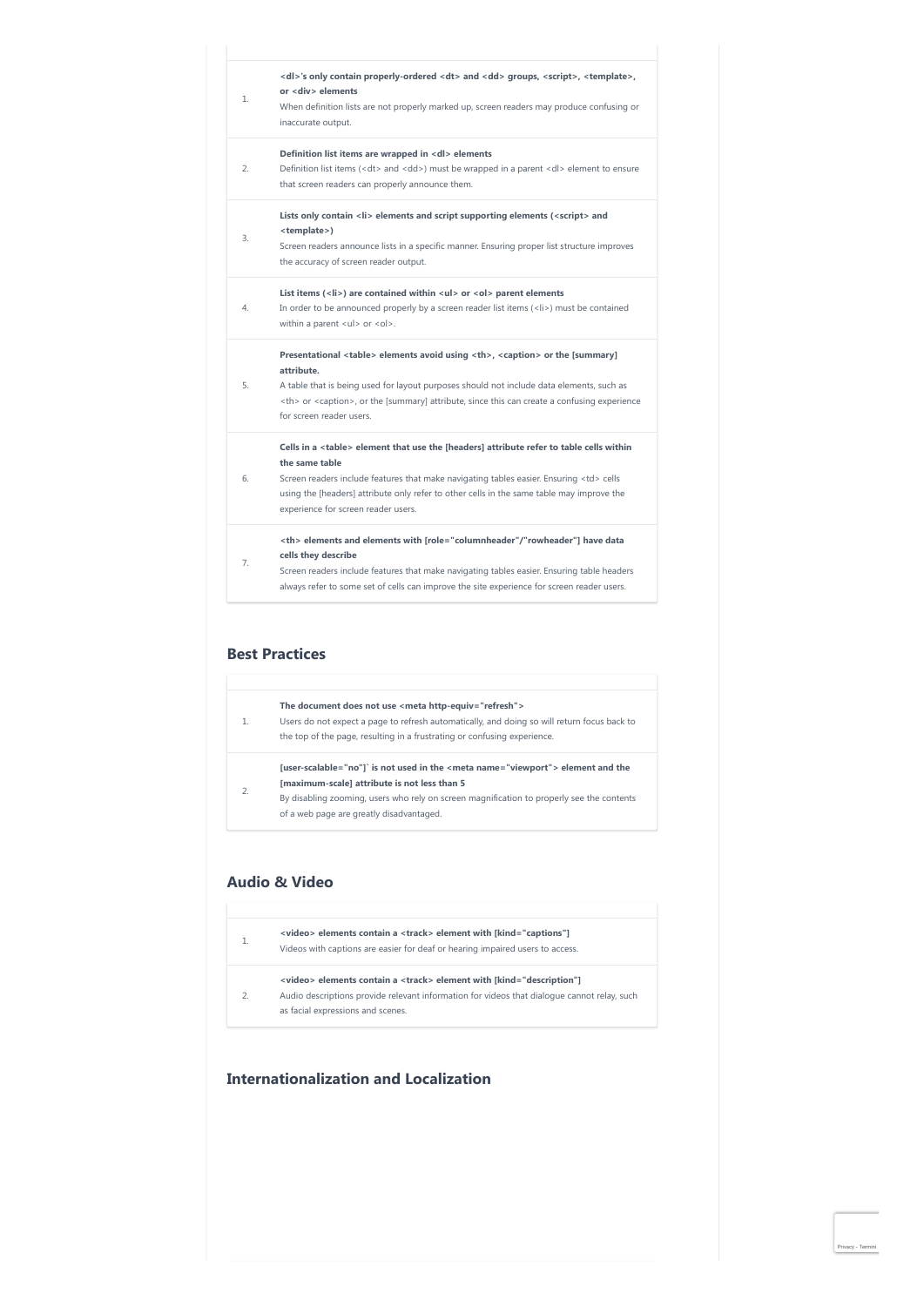| $\mathbf{1}$ . | <dl>'s only contain properly-ordered <dt> and <dd> groups, <script></script></dd></dt></dl> |
|----------------|---------------------------------------------------------------------------------------------|

## **Best Practices**

| $\mathbf{1}$ . | The document does not use <meta http-equiv="refresh"/><br>Users do not expect a page to refresh automatically, and doing so will return focus back to<br>the top of the page, resulting in a frustrating or confusing experience.                                         |
|----------------|---------------------------------------------------------------------------------------------------------------------------------------------------------------------------------------------------------------------------------------------------------------------------|
| $\overline{2}$ | [user-scalable="no"]` is not used in the <meta name="viewport"/> element and the<br>[maximum-scale] attribute is not less than 5<br>By disabling zooming, users who rely on screen magnification to properly see the contents<br>of a web page are greatly disadvantaged. |

## **Audio & Video**

|                | <video> elements contain a <track/> element with [kind="captions"]<br/>Videos with captions are easier for deaf or hearing impaired users to access.</video>                                                        |
|----------------|---------------------------------------------------------------------------------------------------------------------------------------------------------------------------------------------------------------------|
| $\overline{2}$ | <video> elements contain a <track/> element with [kind="description"]<br/>Audio descriptions provide relevant information for videos that dialogue cannot relay, such<br/>as facial expressions and scenes.</video> |

# **Internationalization and Localization**